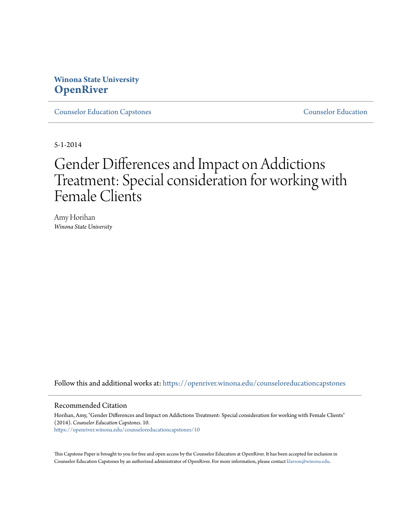## **Winona State University [OpenRiver](https://openriver.winona.edu?utm_source=openriver.winona.edu%2Fcounseloreducationcapstones%2F10&utm_medium=PDF&utm_campaign=PDFCoverPages)**

[Counselor Education Capstones](https://openriver.winona.edu/counseloreducationcapstones?utm_source=openriver.winona.edu%2Fcounseloreducationcapstones%2F10&utm_medium=PDF&utm_campaign=PDFCoverPages) [Counselor Education](https://openriver.winona.edu/counseloreducation?utm_source=openriver.winona.edu%2Fcounseloreducationcapstones%2F10&utm_medium=PDF&utm_campaign=PDFCoverPages)

5-1-2014

# Gender Differences and Impact on Addictions Treatment: Special consideration for working with Female Clients

Amy Horihan *Winona State University*

Follow this and additional works at: [https://openriver.winona.edu/counseloreducationcapstones](https://openriver.winona.edu/counseloreducationcapstones?utm_source=openriver.winona.edu%2Fcounseloreducationcapstones%2F10&utm_medium=PDF&utm_campaign=PDFCoverPages)

#### Recommended Citation

Horihan, Amy, "Gender Differences and Impact on Addictions Treatment: Special consideration for working with Female Clients" (2014). *Counselor Education Capstones*. 10. [https://openriver.winona.edu/counseloreducationcapstones/10](https://openriver.winona.edu/counseloreducationcapstones/10?utm_source=openriver.winona.edu%2Fcounseloreducationcapstones%2F10&utm_medium=PDF&utm_campaign=PDFCoverPages)

This Capstone Paper is brought to you for free and open access by the Counselor Education at OpenRiver. It has been accepted for inclusion in Counselor Education Capstones by an authorized administrator of OpenRiver. For more information, please contact [klarson@winona.edu](mailto:klarson@winona.edu).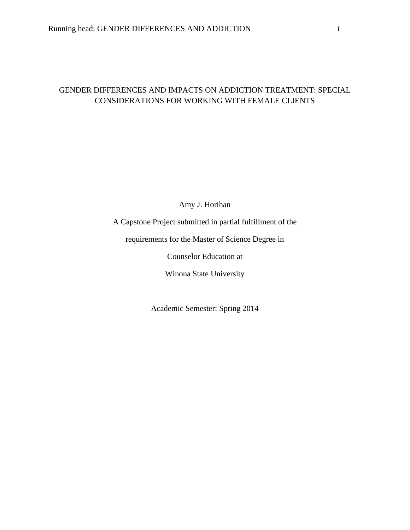## GENDER DIFFERENCES AND IMPACTS ON ADDICTION TREATMENT: SPECIAL CONSIDERATIONS FOR WORKING WITH FEMALE CLIENTS

Amy J. Horihan

A Capstone Project submitted in partial fulfillment of the

requirements for the Master of Science Degree in

Counselor Education at

Winona State University

Academic Semester: Spring 2014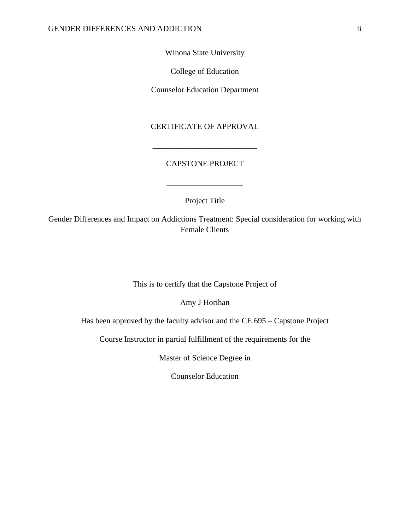Winona State University

College of Education

Counselor Education Department

CERTIFICATE OF APPROVAL

### CAPSTONE PROJECT

\_\_\_\_\_\_\_\_\_\_\_\_\_\_\_\_\_\_\_\_\_\_\_\_\_\_

Project Title

\_\_\_\_\_\_\_\_\_\_\_\_\_\_\_\_\_\_\_

Gender Differences and Impact on Addictions Treatment: Special consideration for working with Female Clients

This is to certify that the Capstone Project of

Amy J Horihan

Has been approved by the faculty advisor and the CE 695 – Capstone Project

Course Instructor in partial fulfillment of the requirements for the

Master of Science Degree in

Counselor Education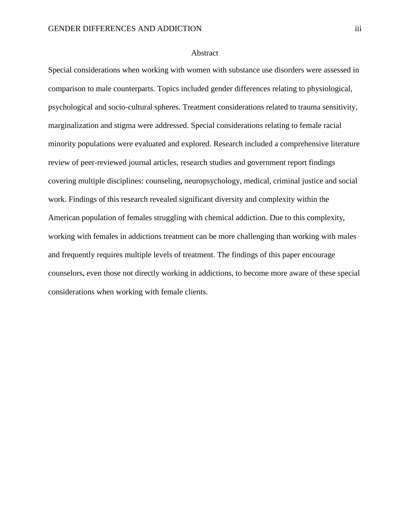#### Abstract

Special considerations when working with women with substance use disorders were assessed in comparison to male counterparts. Topics included gender differences relating to physiological, psychological and socio-cultural spheres. Treatment considerations related to trauma sensitivity, marginalization and stigma were addressed. Special considerations relating to female racial minority populations were evaluated and explored. Research included a comprehensive literature review of peer-reviewed journal articles, research studies and government report findings covering multiple disciplines: counseling, neuropsychology, medical, criminal justice and social work. Findings of this research revealed significant diversity and complexity within the American population of females struggling with chemical addiction. Due to this complexity, working with females in addictions treatment can be more challenging than working with males and frequently requires multiple levels of treatment. The findings of this paper encourage counselors, even those not directly working in addictions, to become more aware of these special considerations when working with female clients.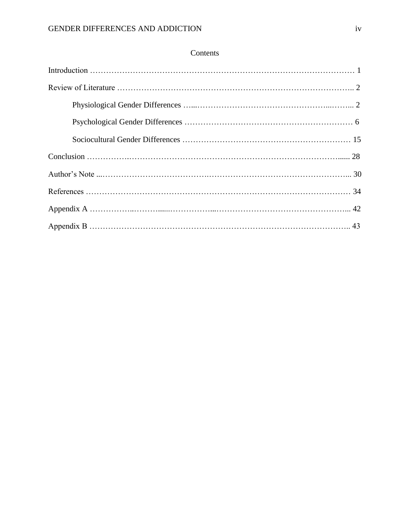## Contents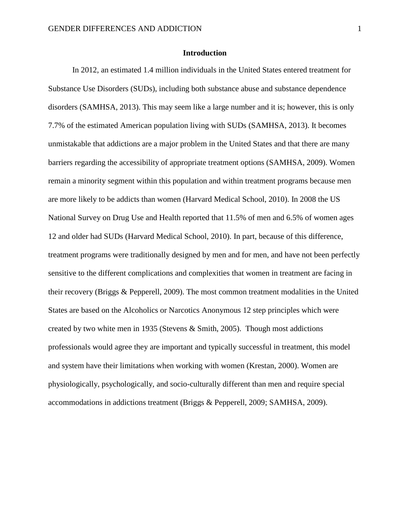#### **Introduction**

In 2012, an estimated 1.4 million individuals in the United States entered treatment for Substance Use Disorders (SUDs), including both substance abuse and substance dependence disorders (SAMHSA, 2013). This may seem like a large number and it is; however, this is only 7.7% of the estimated American population living with SUDs (SAMHSA, 2013). It becomes unmistakable that addictions are a major problem in the United States and that there are many barriers regarding the accessibility of appropriate treatment options (SAMHSA, 2009). Women remain a minority segment within this population and within treatment programs because men are more likely to be addicts than women (Harvard Medical School, 2010). In 2008 the US National Survey on Drug Use and Health reported that 11.5% of men and 6.5% of women ages 12 and older had SUDs (Harvard Medical School, 2010). In part, because of this difference, treatment programs were traditionally designed by men and for men, and have not been perfectly sensitive to the different complications and complexities that women in treatment are facing in their recovery (Briggs & Pepperell, 2009). The most common treatment modalities in the United States are based on the Alcoholics or Narcotics Anonymous 12 step principles which were created by two white men in 1935 (Stevens & Smith, 2005). Though most addictions professionals would agree they are important and typically successful in treatment, this model and system have their limitations when working with women (Krestan, 2000). Women are physiologically, psychologically, and socio-culturally different than men and require special accommodations in addictions treatment (Briggs & Pepperell, 2009; SAMHSA, 2009).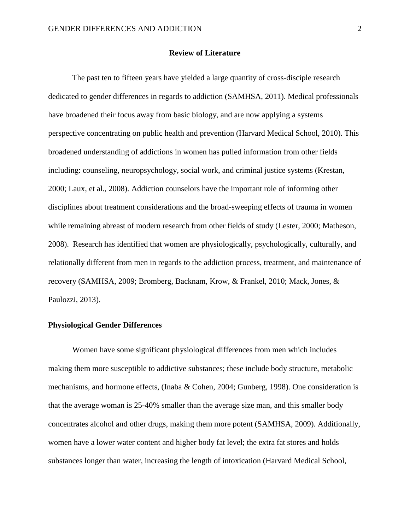#### **Review of Literature**

The past ten to fifteen years have yielded a large quantity of cross-disciple research dedicated to gender differences in regards to addiction (SAMHSA, 2011). Medical professionals have broadened their focus away from basic biology, and are now applying a systems perspective concentrating on public health and prevention (Harvard Medical School, 2010). This broadened understanding of addictions in women has pulled information from other fields including: counseling, neuropsychology, social work, and criminal justice systems (Krestan, 2000; Laux, et al., 2008). Addiction counselors have the important role of informing other disciplines about treatment considerations and the broad-sweeping effects of trauma in women while remaining abreast of modern research from other fields of study (Lester, 2000; Matheson, 2008). Research has identified that women are physiologically, psychologically, culturally, and relationally different from men in regards to the addiction process, treatment, and maintenance of recovery (SAMHSA, 2009; Bromberg, Backnam, Krow, & Frankel, 2010; Mack, Jones, & Paulozzi, 2013).

#### **Physiological Gender Differences**

Women have some significant physiological differences from men which includes making them more susceptible to addictive substances; these include body structure, metabolic mechanisms, and hormone effects, (Inaba & Cohen, 2004; Gunberg, 1998). One consideration is that the average woman is 25-40% smaller than the average size man, and this smaller body concentrates alcohol and other drugs, making them more potent (SAMHSA, 2009). Additionally, women have a lower water content and higher body fat level; the extra fat stores and holds substances longer than water, increasing the length of intoxication (Harvard Medical School,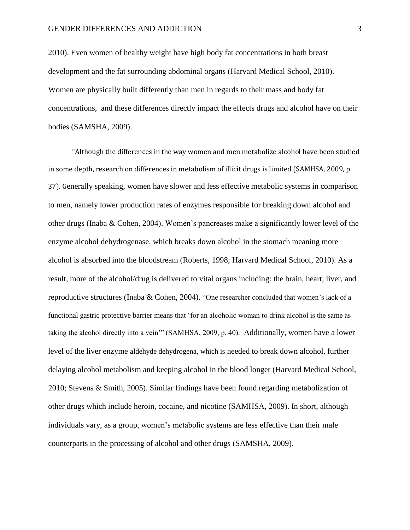2010). Even women of healthy weight have high body fat concentrations in both breast development and the fat surrounding abdominal organs (Harvard Medical School, 2010). Women are physically built differently than men in regards to their mass and body fat concentrations, and these differences directly impact the effects drugs and alcohol have on their bodies (SAMSHA, 2009).

"Although the differences in the way women and men metabolize alcohol have been studied in some depth, research on differences in metabolism of illicit drugs is limited (SAMHSA, 2009, p. 37). Generally speaking, women have slower and less effective metabolic systems in comparison to men, namely lower production rates of enzymes responsible for breaking down alcohol and other drugs (Inaba & Cohen, 2004). Women's pancreases make a significantly lower level of the enzyme alcohol dehydrogenase, which breaks down alcohol in the stomach meaning more alcohol is absorbed into the bloodstream (Roberts, 1998; Harvard Medical School, 2010). As a result, more of the alcohol/drug is delivered to vital organs including: the brain, heart, liver, and reproductive structures (Inaba & Cohen, 2004). "One researcher concluded that women's lack of a functional gastric protective barrier means that 'for an alcoholic woman to drink alcohol is the same as taking the alcohol directly into a vein'" (SAMHSA, 2009, p. 40). Additionally, women have a lower level of the liver enzyme aldehyde dehydrogena, which is needed to break down alcohol, further delaying alcohol metabolism and keeping alcohol in the blood longer (Harvard Medical School, 2010; Stevens & Smith, 2005). Similar findings have been found regarding metabolization of other drugs which include heroin, cocaine, and nicotine (SAMHSA, 2009). In short, although individuals vary, as a group, women's metabolic systems are less effective than their male counterparts in the processing of alcohol and other drugs (SAMSHA, 2009).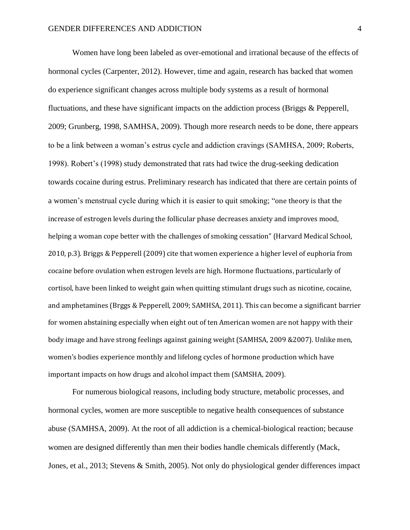Women have long been labeled as over-emotional and irrational because of the effects of hormonal cycles (Carpenter, 2012). However, time and again, research has backed that women do experience significant changes across multiple body systems as a result of hormonal fluctuations, and these have significant impacts on the addiction process (Briggs & Pepperell, 2009; Grunberg, 1998, SAMHSA, 2009). Though more research needs to be done, there appears to be a link between a woman's estrus cycle and addiction cravings (SAMHSA, 2009; Roberts, 1998). Robert's (1998) study demonstrated that rats had twice the drug-seeking dedication towards cocaine during estrus. Preliminary research has indicated that there are certain points of a women's menstrual cycle during which it is easier to quit smoking; "one theory is that the increase of estrogen levels during the follicular phase decreases anxiety and improves mood, helping a woman cope better with the challenges of smoking cessation" (Harvard Medical School, 2010, p.3). Briggs & Pepperell (2009) cite that women experience a higher level of euphoria from cocaine before ovulation when estrogen levels are high. Hormone fluctuations, particularly of cortisol, have been linked to weight gain when quitting stimulant drugs such as nicotine, cocaine, and amphetamines (Brggs & Pepperell, 2009; SAMHSA, 2011). This can become a significant barrier for women abstaining especially when eight out of ten American women are not happy with their body image and have strong feelings against gaining weight (SAMHSA, 2009 &2007). Unlike men, women's bodies experience monthly and lifelong cycles of hormone production which have important impacts on how drugs and alcohol impact them (SAMSHA, 2009).

For numerous biological reasons, including body structure, metabolic processes, and hormonal cycles, women are more susceptible to negative health consequences of substance abuse (SAMHSA, 2009). At the root of all addiction is a chemical-biological reaction; because women are designed differently than men their bodies handle chemicals differently (Mack, Jones, et al., 2013; Stevens & Smith, 2005). Not only do physiological gender differences impact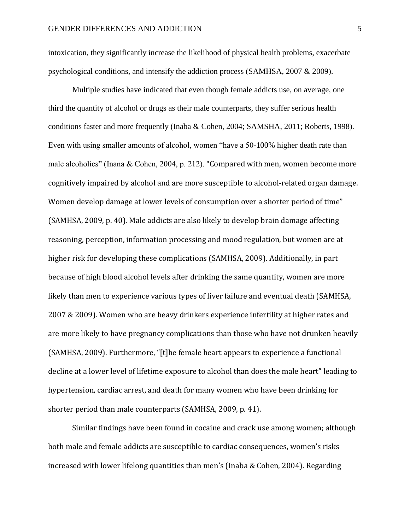intoxication, they significantly increase the likelihood of physical health problems, exacerbate psychological conditions, and intensify the addiction process (SAMHSA, 2007 & 2009).

Multiple studies have indicated that even though female addicts use, on average, one third the quantity of alcohol or drugs as their male counterparts, they suffer serious health conditions faster and more frequently (Inaba & Cohen, 2004; SAMSHA, 2011; Roberts, 1998). Even with using smaller amounts of alcohol, women "have a 50-100% higher death rate than male alcoholics" (Inana & Cohen, 2004, p. 212). "Compared with men, women become more cognitively impaired by alcohol and are more susceptible to alcohol-related organ damage. Women develop damage at lower levels of consumption over a shorter period of time" (SAMHSA, 2009, p. 40). Male addicts are also likely to develop brain damage affecting reasoning, perception, information processing and mood regulation, but women are at higher risk for developing these complications (SAMHSA, 2009). Additionally, in part because of high blood alcohol levels after drinking the same quantity, women are more likely than men to experience various types of liver failure and eventual death (SAMHSA, 2007 & 2009). Women who are heavy drinkers experience infertility at higher rates and are more likely to have pregnancy complications than those who have not drunken heavily (SAMHSA, 2009). Furthermore, "[t]he female heart appears to experience a functional decline at a lower level of lifetime exposure to alcohol than does the male heart" leading to hypertension, cardiac arrest, and death for many women who have been drinking for shorter period than male counterparts (SAMHSA, 2009, p. 41).

Similar findings have been found in cocaine and crack use among women; although both male and female addicts are susceptible to cardiac consequences, women's risks increased with lower lifelong quantities than men's (Inaba & Cohen, 2004). Regarding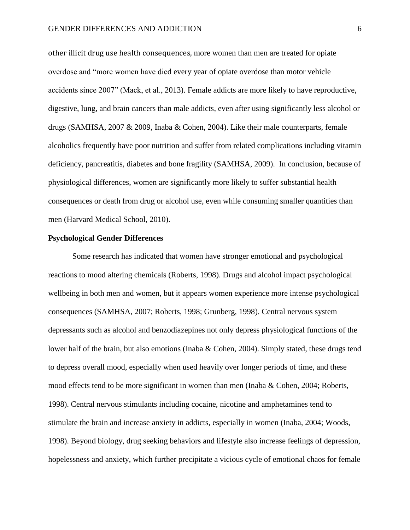other illicit drug use health consequences, more women than men are treated for opiate overdose and "more women have died every year of opiate overdose than motor vehicle accidents since 2007" (Mack, et al., 2013). Female addicts are more likely to have reproductive, digestive, lung, and brain cancers than male addicts, even after using significantly less alcohol or drugs (SAMHSA, 2007 & 2009, Inaba & Cohen, 2004). Like their male counterparts, female alcoholics frequently have poor nutrition and suffer from related complications including vitamin deficiency, pancreatitis, diabetes and bone fragility (SAMHSA, 2009). In conclusion, because of physiological differences, women are significantly more likely to suffer substantial health consequences or death from drug or alcohol use, even while consuming smaller quantities than men (Harvard Medical School, 2010).

#### **Psychological Gender Differences**

Some research has indicated that women have stronger emotional and psychological reactions to mood altering chemicals (Roberts, 1998). Drugs and alcohol impact psychological wellbeing in both men and women, but it appears women experience more intense psychological consequences (SAMHSA, 2007; Roberts, 1998; Grunberg, 1998). Central nervous system depressants such as alcohol and benzodiazepines not only depress physiological functions of the lower half of the brain, but also emotions (Inaba & Cohen, 2004). Simply stated, these drugs tend to depress overall mood, especially when used heavily over longer periods of time, and these mood effects tend to be more significant in women than men (Inaba & Cohen, 2004; Roberts, 1998). Central nervous stimulants including cocaine, nicotine and amphetamines tend to stimulate the brain and increase anxiety in addicts, especially in women (Inaba, 2004; Woods, 1998). Beyond biology, drug seeking behaviors and lifestyle also increase feelings of depression, hopelessness and anxiety, which further precipitate a vicious cycle of emotional chaos for female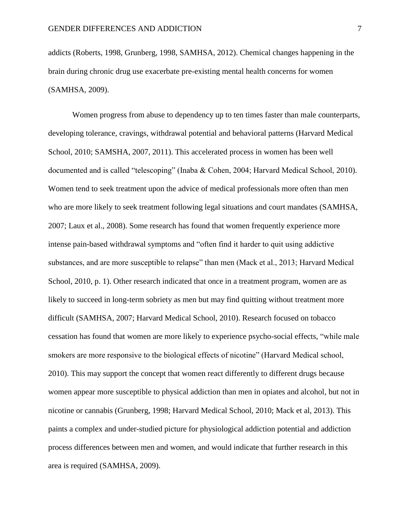addicts (Roberts, 1998, Grunberg, 1998, SAMHSA, 2012). Chemical changes happening in the brain during chronic drug use exacerbate pre-existing mental health concerns for women (SAMHSA, 2009).

Women progress from abuse to dependency up to ten times faster than male counterparts, developing tolerance, cravings, withdrawal potential and behavioral patterns (Harvard Medical School, 2010; SAMSHA, 2007, 2011). This accelerated process in women has been well documented and is called "telescoping" (Inaba & Cohen, 2004; Harvard Medical School, 2010). Women tend to seek treatment upon the advice of medical professionals more often than men who are more likely to seek treatment following legal situations and court mandates (SAMHSA, 2007; Laux et al., 2008). Some research has found that women frequently experience more intense pain-based withdrawal symptoms and "often find it harder to quit using addictive substances, and are more susceptible to relapse" than men (Mack et al., 2013; Harvard Medical School, 2010, p. 1). Other research indicated that once in a treatment program, women are as likely to succeed in long-term sobriety as men but may find quitting without treatment more difficult (SAMHSA, 2007; Harvard Medical School, 2010). Research focused on tobacco cessation has found that women are more likely to experience psycho-social effects, "while male smokers are more responsive to the biological effects of nicotine" (Harvard Medical school, 2010). This may support the concept that women react differently to different drugs because women appear more susceptible to physical addiction than men in opiates and alcohol, but not in nicotine or cannabis (Grunberg, 1998; Harvard Medical School, 2010; Mack et al, 2013). This paints a complex and under-studied picture for physiological addiction potential and addiction process differences between men and women, and would indicate that further research in this area is required (SAMHSA, 2009).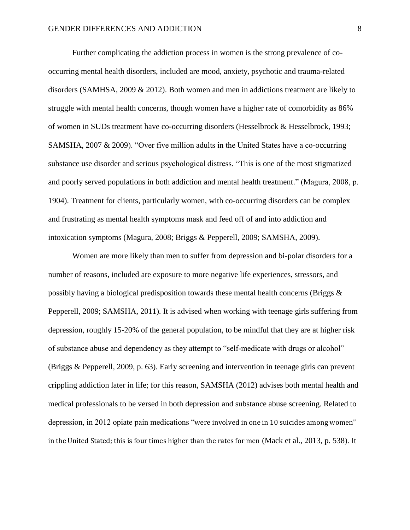Further complicating the addiction process in women is the strong prevalence of cooccurring mental health disorders, included are mood, anxiety, psychotic and trauma-related disorders (SAMHSA, 2009 & 2012). Both women and men in addictions treatment are likely to struggle with mental health concerns, though women have a higher rate of comorbidity as 86% of women in SUDs treatment have co-occurring disorders (Hesselbrock & Hesselbrock, 1993; SAMSHA, 2007 & 2009). "Over five million adults in the United States have a co-occurring substance use disorder and serious psychological distress. "This is one of the most stigmatized and poorly served populations in both addiction and mental health treatment." (Magura, 2008, p. 1904). Treatment for clients, particularly women, with co-occurring disorders can be complex and frustrating as mental health symptoms mask and feed off of and into addiction and intoxication symptoms (Magura, 2008; Briggs & Pepperell, 2009; SAMSHA, 2009).

Women are more likely than men to suffer from depression and bi-polar disorders for a number of reasons, included are exposure to more negative life experiences, stressors, and possibly having a biological predisposition towards these mental health concerns (Briggs & Pepperell, 2009; SAMSHA, 2011). It is advised when working with teenage girls suffering from depression, roughly 15-20% of the general population, to be mindful that they are at higher risk of substance abuse and dependency as they attempt to "self-medicate with drugs or alcohol" (Briggs & Pepperell, 2009, p. 63). Early screening and intervention in teenage girls can prevent crippling addiction later in life; for this reason, SAMSHA (2012) advises both mental health and medical professionals to be versed in both depression and substance abuse screening. Related to depression, in 2012 opiate pain medications "were involved in one in 10 suicides among women" in the United Stated; this is four times higher than the rates for men (Mack et al., 2013, p. 538). It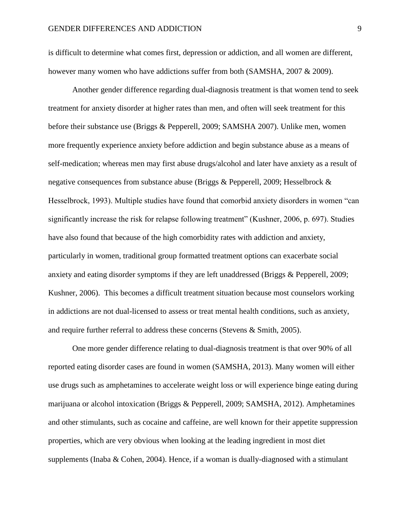is difficult to determine what comes first, depression or addiction, and all women are different, however many women who have addictions suffer from both (SAMSHA, 2007 & 2009).

Another gender difference regarding dual-diagnosis treatment is that women tend to seek treatment for anxiety disorder at higher rates than men, and often will seek treatment for this before their substance use (Briggs & Pepperell, 2009; SAMSHA 2007). Unlike men, women more frequently experience anxiety before addiction and begin substance abuse as a means of self-medication; whereas men may first abuse drugs/alcohol and later have anxiety as a result of negative consequences from substance abuse (Briggs & Pepperell, 2009; Hesselbrock & Hesselbrock, 1993). Multiple studies have found that comorbid anxiety disorders in women "can significantly increase the risk for relapse following treatment" (Kushner, 2006, p. 697). Studies have also found that because of the high comorbidity rates with addiction and anxiety, particularly in women, traditional group formatted treatment options can exacerbate social anxiety and eating disorder symptoms if they are left unaddressed (Briggs & Pepperell, 2009; Kushner, 2006). This becomes a difficult treatment situation because most counselors working in addictions are not dual-licensed to assess or treat mental health conditions, such as anxiety, and require further referral to address these concerns (Stevens & Smith, 2005).

One more gender difference relating to dual-diagnosis treatment is that over 90% of all reported eating disorder cases are found in women (SAMSHA, 2013). Many women will either use drugs such as amphetamines to accelerate weight loss or will experience binge eating during marijuana or alcohol intoxication (Briggs & Pepperell, 2009; SAMSHA, 2012). Amphetamines and other stimulants, such as cocaine and caffeine, are well known for their appetite suppression properties, which are very obvious when looking at the leading ingredient in most diet supplements (Inaba & Cohen, 2004). Hence, if a woman is dually-diagnosed with a stimulant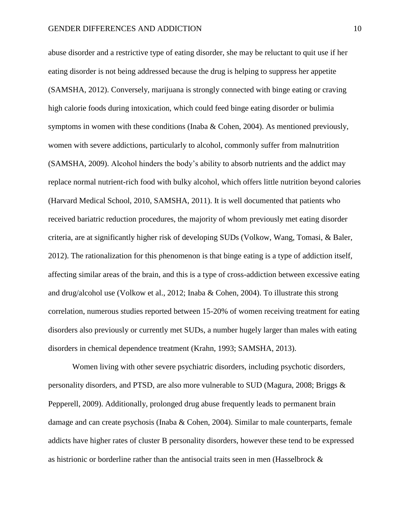abuse disorder and a restrictive type of eating disorder, she may be reluctant to quit use if her eating disorder is not being addressed because the drug is helping to suppress her appetite (SAMSHA, 2012). Conversely, marijuana is strongly connected with binge eating or craving high calorie foods during intoxication, which could feed binge eating disorder or bulimia symptoms in women with these conditions (Inaba & Cohen, 2004). As mentioned previously, women with severe addictions, particularly to alcohol, commonly suffer from malnutrition (SAMSHA, 2009). Alcohol hinders the body's ability to absorb nutrients and the addict may replace normal nutrient-rich food with bulky alcohol, which offers little nutrition beyond calories (Harvard Medical School, 2010, SAMSHA, 2011). It is well documented that patients who received bariatric reduction procedures, the majority of whom previously met eating disorder criteria, are at significantly higher risk of developing SUDs (Volkow, Wang, Tomasi, & Baler, 2012). The rationalization for this phenomenon is that binge eating is a type of addiction itself, affecting similar areas of the brain, and this is a type of cross-addiction between excessive eating and drug/alcohol use (Volkow et al., 2012; Inaba & Cohen, 2004). To illustrate this strong correlation, numerous studies reported between 15-20% of women receiving treatment for eating disorders also previously or currently met SUDs, a number hugely larger than males with eating disorders in chemical dependence treatment (Krahn, 1993; SAMSHA, 2013).

Women living with other severe psychiatric disorders, including psychotic disorders, personality disorders, and PTSD, are also more vulnerable to SUD (Magura, 2008; Briggs & Pepperell, 2009). Additionally, prolonged drug abuse frequently leads to permanent brain damage and can create psychosis (Inaba & Cohen, 2004). Similar to male counterparts, female addicts have higher rates of cluster B personality disorders, however these tend to be expressed as histrionic or borderline rather than the antisocial traits seen in men (Hasselbrock &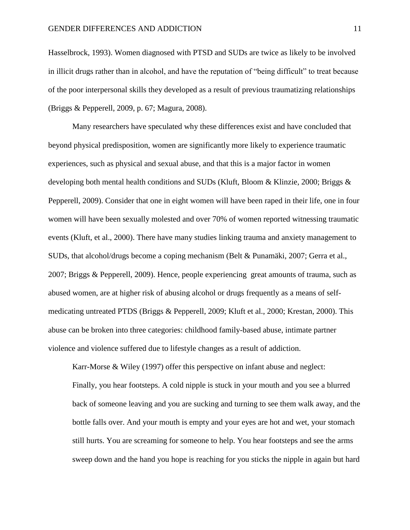Hasselbrock, 1993). Women diagnosed with PTSD and SUDs are twice as likely to be involved in illicit drugs rather than in alcohol, and have the reputation of "being difficult" to treat because of the poor interpersonal skills they developed as a result of previous traumatizing relationships (Briggs & Pepperell, 2009, p. 67; Magura, 2008).

Many researchers have speculated why these differences exist and have concluded that beyond physical predisposition, women are significantly more likely to experience traumatic experiences, such as physical and sexual abuse, and that this is a major factor in women developing both mental health conditions and SUDs (Kluft, Bloom & Klinzie, 2000; Briggs & Pepperell, 2009). Consider that one in eight women will have been raped in their life, one in four women will have been sexually molested and over 70% of women reported witnessing traumatic events (Kluft, et al., 2000). There have many studies linking trauma and anxiety management to SUDs, that alcohol/drugs become a coping mechanism (Belt & Punamäki, 2007; Gerra et al., 2007; Briggs & Pepperell, 2009). Hence, people experiencing great amounts of trauma, such as abused women, are at higher risk of abusing alcohol or drugs frequently as a means of selfmedicating untreated PTDS (Briggs & Pepperell, 2009; Kluft et al., 2000; Krestan, 2000). This abuse can be broken into three categories: childhood family-based abuse, intimate partner violence and violence suffered due to lifestyle changes as a result of addiction.

Karr-Morse & Wiley (1997) offer this perspective on infant abuse and neglect: Finally, you hear footsteps. A cold nipple is stuck in your mouth and you see a blurred back of someone leaving and you are sucking and turning to see them walk away, and the bottle falls over. And your mouth is empty and your eyes are hot and wet, your stomach still hurts. You are screaming for someone to help. You hear footsteps and see the arms sweep down and the hand you hope is reaching for you sticks the nipple in again but hard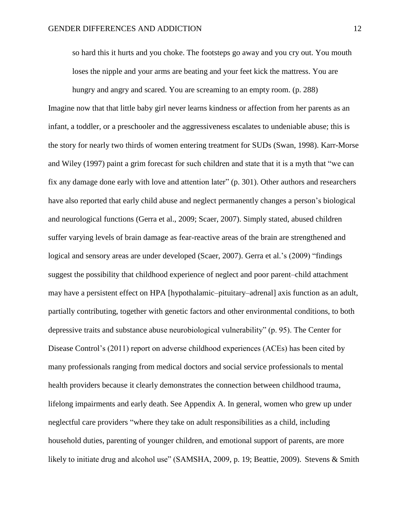so hard this it hurts and you choke. The footsteps go away and you cry out. You mouth loses the nipple and your arms are beating and your feet kick the mattress. You are

hungry and angry and scared. You are screaming to an empty room. (p. 288) Imagine now that that little baby girl never learns kindness or affection from her parents as an infant, a toddler, or a preschooler and the aggressiveness escalates to undeniable abuse; this is the story for nearly two thirds of women entering treatment for SUDs (Swan, 1998). Karr-Morse and Wiley (1997) paint a grim forecast for such children and state that it is a myth that "we can fix any damage done early with love and attention later" (p. 301). Other authors and researchers have also reported that early child abuse and neglect permanently changes a person's biological and neurological functions (Gerra et al., 2009; Scaer, 2007). Simply stated, abused children suffer varying levels of brain damage as fear-reactive areas of the brain are strengthened and logical and sensory areas are under developed (Scaer, 2007). Gerra et al.'s (2009) "findings suggest the possibility that childhood experience of neglect and poor parent–child attachment may have a persistent effect on HPA [hypothalamic–pituitary–adrenal] axis function as an adult, partially contributing, together with genetic factors and other environmental conditions, to both depressive traits and substance abuse neurobiological vulnerability" (p. 95). The Center for Disease Control's (2011) report on adverse childhood experiences (ACEs) has been cited by many professionals ranging from medical doctors and social service professionals to mental health providers because it clearly demonstrates the connection between childhood trauma, lifelong impairments and early death. See Appendix A. In general, women who grew up under neglectful care providers "where they take on adult responsibilities as a child, including household duties, parenting of younger children, and emotional support of parents, are more likely to initiate drug and alcohol use" (SAMSHA, 2009, p. 19; Beattie, 2009). Stevens & Smith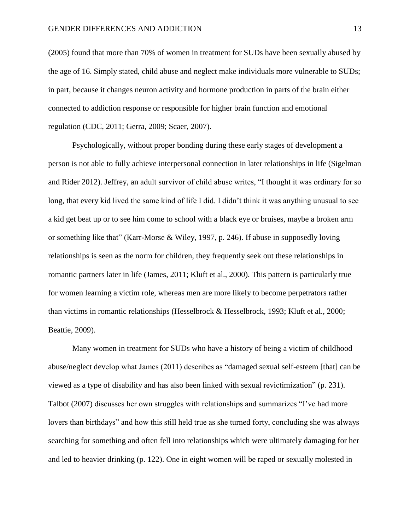(2005) found that more than 70% of women in treatment for SUDs have been sexually abused by the age of 16. Simply stated, child abuse and neglect make individuals more vulnerable to SUDs; in part, because it changes neuron activity and hormone production in parts of the brain either connected to addiction response or responsible for higher brain function and emotional regulation (CDC, 2011; Gerra, 2009; Scaer, 2007).

Psychologically, without proper bonding during these early stages of development a person is not able to fully achieve interpersonal connection in later relationships in life (Sigelman and Rider 2012). Jeffrey, an adult survivor of child abuse writes, "I thought it was ordinary for so long, that every kid lived the same kind of life I did. I didn't think it was anything unusual to see a kid get beat up or to see him come to school with a black eye or bruises, maybe a broken arm or something like that" (Karr-Morse & Wiley, 1997, p. 246). If abuse in supposedly loving relationships is seen as the norm for children, they frequently seek out these relationships in romantic partners later in life (James, 2011; Kluft et al., 2000). This pattern is particularly true for women learning a victim role, whereas men are more likely to become perpetrators rather than victims in romantic relationships (Hesselbrock & Hesselbrock, 1993; Kluft et al., 2000; Beattie, 2009).

Many women in treatment for SUDs who have a history of being a victim of childhood abuse/neglect develop what James (2011) describes as "damaged sexual self-esteem [that] can be viewed as a type of disability and has also been linked with sexual revictimization" (p. 231). Talbot (2007) discusses her own struggles with relationships and summarizes "I've had more lovers than birthdays" and how this still held true as she turned forty, concluding she was always searching for something and often fell into relationships which were ultimately damaging for her and led to heavier drinking (p. 122). One in eight women will be raped or sexually molested in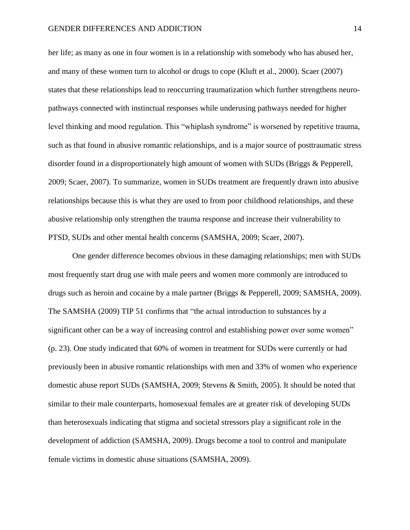her life; as many as one in four women is in a relationship with somebody who has abused her, and many of these women turn to alcohol or drugs to cope (Kluft et al., 2000). Scaer (2007) states that these relationships lead to reoccurring traumatization which further strengthens neuropathways connected with instinctual responses while underusing pathways needed for higher level thinking and mood regulation. This "whiplash syndrome" is worsened by repetitive trauma, such as that found in abusive romantic relationships, and is a major source of posttraumatic stress disorder found in a disproportionately high amount of women with SUDs (Briggs & Pepperell, 2009; Scaer, 2007). To summarize, women in SUDs treatment are frequently drawn into abusive relationships because this is what they are used to from poor childhood relationships, and these abusive relationship only strengthen the trauma response and increase their vulnerability to PTSD, SUDs and other mental health concerns (SAMSHA, 2009; Scaer, 2007).

One gender difference becomes obvious in these damaging relationships; men with SUDs most frequently start drug use with male peers and women more commonly are introduced to drugs such as heroin and cocaine by a male partner (Briggs & Pepperell, 2009; SAMSHA, 2009). The SAMSHA (2009) TIP 51 confirms that "the actual introduction to substances by a significant other can be a way of increasing control and establishing power over some women" (p. 23). One study indicated that 60% of women in treatment for SUDs were currently or had previously been in abusive romantic relationships with men and 33% of women who experience domestic abuse report SUDs (SAMSHA, 2009; Stevens & Smith, 2005). It should be noted that similar to their male counterparts, homosexual females are at greater risk of developing SUDs than heterosexuals indicating that stigma and societal stressors play a significant role in the development of addiction (SAMSHA, 2009). Drugs become a tool to control and manipulate female victims in domestic abuse situations (SAMSHA, 2009).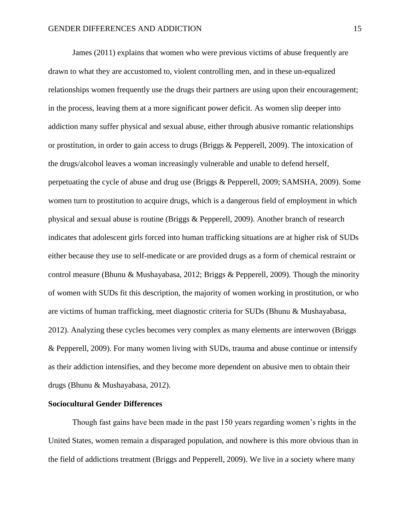James (2011) explains that women who were previous victims of abuse frequently are drawn to what they are accustomed to, violent controlling men, and in these un-equalized relationships women frequently use the drugs their partners are using upon their encouragement; in the process, leaving them at a more significant power deficit. As women slip deeper into addiction many suffer physical and sexual abuse, either through abusive romantic relationships or prostitution, in order to gain access to drugs (Briggs & Pepperell, 2009). The intoxication of the drugs/alcohol leaves a woman increasingly vulnerable and unable to defend herself, perpetuating the cycle of abuse and drug use (Briggs & Pepperell, 2009; SAMSHA, 2009). Some women turn to prostitution to acquire drugs, which is a dangerous field of employment in which physical and sexual abuse is routine (Briggs & Pepperell, 2009). Another branch of research indicates that adolescent girls forced into human trafficking situations are at higher risk of SUDs either because they use to self-medicate or are provided drugs as a form of chemical restraint or control measure (Bhunu & Mushayabasa, 2012; Briggs & Pepperell, 2009). Though the minority of women with SUDs fit this description, the majority of women working in prostitution, or who are victims of human trafficking, meet diagnostic criteria for SUDs (Bhunu & Mushayabasa, 2012). Analyzing these cycles becomes very complex as many elements are interwoven (Briggs & Pepperell, 2009). For many women living with SUDs, trauma and abuse continue or intensify as their addiction intensifies, and they become more dependent on abusive men to obtain their drugs (Bhunu & Mushayabasa, 2012).

#### **Sociocultural Gender Differences**

Though fast gains have been made in the past 150 years regarding women's rights in the United States, women remain a disparaged population, and nowhere is this more obvious than in the field of addictions treatment (Briggs and Pepperell, 2009). We live in a society where many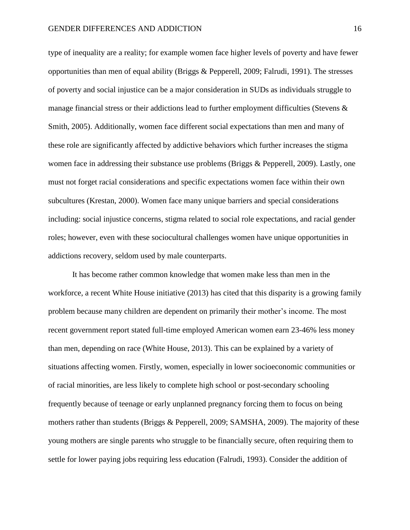type of inequality are a reality; for example women face higher levels of poverty and have fewer opportunities than men of equal ability (Briggs & Pepperell, 2009; Falrudi, 1991). The stresses of poverty and social injustice can be a major consideration in SUDs as individuals struggle to manage financial stress or their addictions lead to further employment difficulties (Stevens  $\&$ Smith, 2005). Additionally, women face different social expectations than men and many of these role are significantly affected by addictive behaviors which further increases the stigma women face in addressing their substance use problems (Briggs & Pepperell, 2009). Lastly, one must not forget racial considerations and specific expectations women face within their own subcultures (Krestan, 2000). Women face many unique barriers and special considerations including: social injustice concerns, stigma related to social role expectations, and racial gender roles; however, even with these sociocultural challenges women have unique opportunities in addictions recovery, seldom used by male counterparts.

It has become rather common knowledge that women make less than men in the workforce, a recent White House initiative (2013) has cited that this disparity is a growing family problem because many children are dependent on primarily their mother's income. The most recent government report stated full-time employed American women earn 23-46% less money than men, depending on race (White House, 2013). This can be explained by a variety of situations affecting women. Firstly, women, especially in lower socioeconomic communities or of racial minorities, are less likely to complete high school or post-secondary schooling frequently because of teenage or early unplanned pregnancy forcing them to focus on being mothers rather than students (Briggs & Pepperell, 2009; SAMSHA, 2009). The majority of these young mothers are single parents who struggle to be financially secure, often requiring them to settle for lower paying jobs requiring less education (Falrudi, 1993). Consider the addition of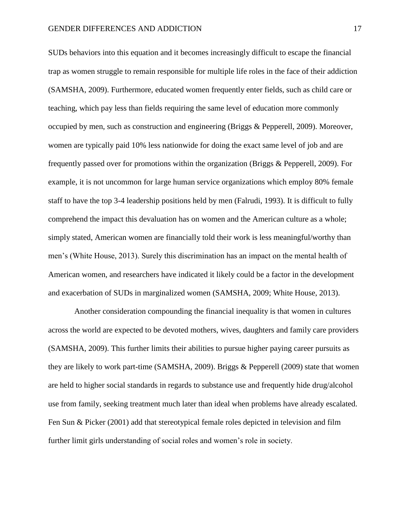SUDs behaviors into this equation and it becomes increasingly difficult to escape the financial trap as women struggle to remain responsible for multiple life roles in the face of their addiction (SAMSHA, 2009). Furthermore, educated women frequently enter fields, such as child care or teaching, which pay less than fields requiring the same level of education more commonly occupied by men, such as construction and engineering (Briggs & Pepperell, 2009). Moreover, women are typically paid 10% less nationwide for doing the exact same level of job and are frequently passed over for promotions within the organization (Briggs & Pepperell, 2009). For example, it is not uncommon for large human service organizations which employ 80% female staff to have the top 3-4 leadership positions held by men (Falrudi, 1993). It is difficult to fully comprehend the impact this devaluation has on women and the American culture as a whole; simply stated, American women are financially told their work is less meaningful/worthy than men's (White House, 2013). Surely this discrimination has an impact on the mental health of American women, and researchers have indicated it likely could be a factor in the development and exacerbation of SUDs in marginalized women (SAMSHA, 2009; White House, 2013).

Another consideration compounding the financial inequality is that women in cultures across the world are expected to be devoted mothers, wives, daughters and family care providers (SAMSHA, 2009). This further limits their abilities to pursue higher paying career pursuits as they are likely to work part-time (SAMSHA, 2009). Briggs & Pepperell (2009) state that women are held to higher social standards in regards to substance use and frequently hide drug/alcohol use from family, seeking treatment much later than ideal when problems have already escalated. Fen Sun & Picker (2001) add that stereotypical female roles depicted in television and film further limit girls understanding of social roles and women's role in society.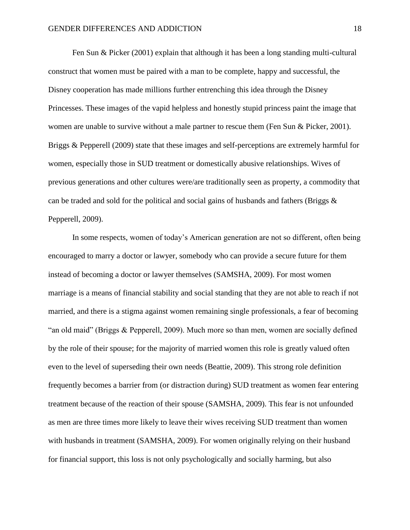Fen Sun & Picker (2001) explain that although it has been a long standing multi-cultural construct that women must be paired with a man to be complete, happy and successful, the Disney cooperation has made millions further entrenching this idea through the Disney Princesses. These images of the vapid helpless and honestly stupid princess paint the image that women are unable to survive without a male partner to rescue them (Fen Sun & Picker, 2001). Briggs & Pepperell (2009) state that these images and self-perceptions are extremely harmful for women, especially those in SUD treatment or domestically abusive relationships. Wives of previous generations and other cultures were/are traditionally seen as property, a commodity that can be traded and sold for the political and social gains of husbands and fathers (Briggs  $\&$ Pepperell, 2009).

In some respects, women of today's American generation are not so different, often being encouraged to marry a doctor or lawyer, somebody who can provide a secure future for them instead of becoming a doctor or lawyer themselves (SAMSHA, 2009). For most women marriage is a means of financial stability and social standing that they are not able to reach if not married, and there is a stigma against women remaining single professionals, a fear of becoming "an old maid" (Briggs & Pepperell, 2009). Much more so than men, women are socially defined by the role of their spouse; for the majority of married women this role is greatly valued often even to the level of superseding their own needs (Beattie, 2009). This strong role definition frequently becomes a barrier from (or distraction during) SUD treatment as women fear entering treatment because of the reaction of their spouse (SAMSHA, 2009). This fear is not unfounded as men are three times more likely to leave their wives receiving SUD treatment than women with husbands in treatment (SAMSHA, 2009). For women originally relying on their husband for financial support, this loss is not only psychologically and socially harming, but also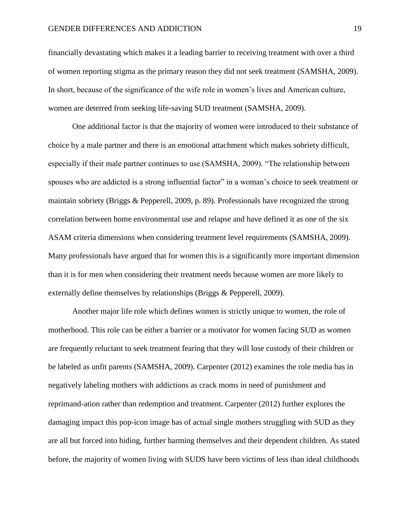financially devastating which makes it a leading barrier to receiving treatment with over a third of women reporting stigma as the primary reason they did not seek treatment (SAMSHA, 2009). In short, because of the significance of the wife role in women's lives and American culture, women are deterred from seeking life-saving SUD treatment (SAMSHA, 2009).

One additional factor is that the majority of women were introduced to their substance of choice by a male partner and there is an emotional attachment which makes sobriety difficult, especially if their male partner continues to use (SAMSHA, 2009). "The relationship between spouses who are addicted is a strong influential factor" in a woman's choice to seek treatment or maintain sobriety (Briggs & Pepperell, 2009, p. 89). Professionals have recognized the strong correlation between home environmental use and relapse and have defined it as one of the six ASAM criteria dimensions when considering treatment level requirements (SAMSHA, 2009). Many professionals have argued that for women this is a significantly more important dimension than it is for men when considering their treatment needs because women are more likely to externally define themselves by relationships (Briggs & Pepperell, 2009).

Another major life role which defines women is strictly unique to women, the role of motherhood. This role can be either a barrier or a motivator for women facing SUD as women are frequently reluctant to seek treatment fearing that they will lose custody of their children or be labeled as unfit parents (SAMSHA, 2009). Carpenter (2012) examines the role media has in negatively labeling mothers with addictions as crack moms in need of punishment and reprimand-ation rather than redemption and treatment. Carpenter (2012) further explores the damaging impact this pop-icon image has of actual single mothers struggling with SUD as they are all but forced into hiding, further harming themselves and their dependent children. As stated before, the majority of women living with SUDS have been victims of less than ideal childhoods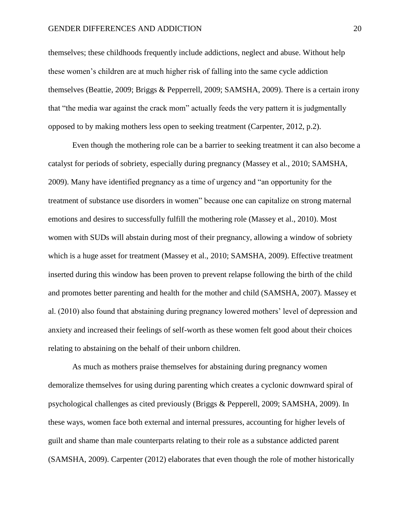#### GENDER DIFFERENCES AND ADDICTION 20

themselves; these childhoods frequently include addictions, neglect and abuse. Without help these women's children are at much higher risk of falling into the same cycle addiction themselves (Beattie, 2009; Briggs & Pepperrell, 2009; SAMSHA, 2009). There is a certain irony that "the media war against the crack mom" actually feeds the very pattern it is judgmentally opposed to by making mothers less open to seeking treatment (Carpenter, 2012, p.2).

Even though the mothering role can be a barrier to seeking treatment it can also become a catalyst for periods of sobriety, especially during pregnancy (Massey et al., 2010; SAMSHA, 2009). Many have identified pregnancy as a time of urgency and "an opportunity for the treatment of substance use disorders in women" because one can capitalize on strong maternal emotions and desires to successfully fulfill the mothering role (Massey et al., 2010). Most women with SUDs will abstain during most of their pregnancy, allowing a window of sobriety which is a huge asset for treatment (Massey et al., 2010; SAMSHA, 2009). Effective treatment inserted during this window has been proven to prevent relapse following the birth of the child and promotes better parenting and health for the mother and child (SAMSHA, 2007). Massey et al. (2010) also found that abstaining during pregnancy lowered mothers' level of depression and anxiety and increased their feelings of self-worth as these women felt good about their choices relating to abstaining on the behalf of their unborn children.

As much as mothers praise themselves for abstaining during pregnancy women demoralize themselves for using during parenting which creates a cyclonic downward spiral of psychological challenges as cited previously (Briggs & Pepperell, 2009; SAMSHA, 2009). In these ways, women face both external and internal pressures, accounting for higher levels of guilt and shame than male counterparts relating to their role as a substance addicted parent (SAMSHA, 2009). Carpenter (2012) elaborates that even though the role of mother historically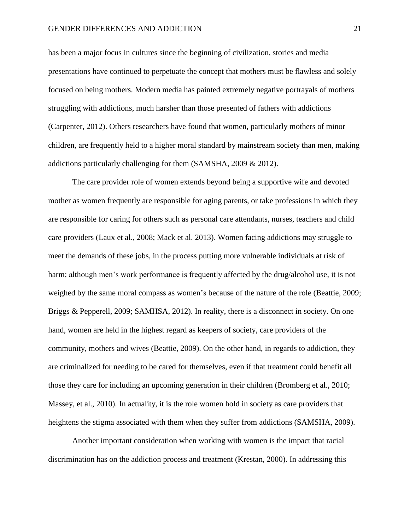has been a major focus in cultures since the beginning of civilization, stories and media presentations have continued to perpetuate the concept that mothers must be flawless and solely focused on being mothers. Modern media has painted extremely negative portrayals of mothers struggling with addictions, much harsher than those presented of fathers with addictions (Carpenter, 2012). Others researchers have found that women, particularly mothers of minor children, are frequently held to a higher moral standard by mainstream society than men, making addictions particularly challenging for them (SAMSHA, 2009 & 2012).

The care provider role of women extends beyond being a supportive wife and devoted mother as women frequently are responsible for aging parents, or take professions in which they are responsible for caring for others such as personal care attendants, nurses, teachers and child care providers (Laux et al., 2008; Mack et al. 2013). Women facing addictions may struggle to meet the demands of these jobs, in the process putting more vulnerable individuals at risk of harm; although men's work performance is frequently affected by the drug/alcohol use, it is not weighed by the same moral compass as women's because of the nature of the role (Beattie, 2009; Briggs & Pepperell, 2009; SAMHSA, 2012). In reality, there is a disconnect in society. On one hand, women are held in the highest regard as keepers of society, care providers of the community, mothers and wives (Beattie, 2009). On the other hand, in regards to addiction, they are criminalized for needing to be cared for themselves, even if that treatment could benefit all those they care for including an upcoming generation in their children (Bromberg et al., 2010; Massey, et al., 2010). In actuality, it is the role women hold in society as care providers that heightens the stigma associated with them when they suffer from addictions (SAMSHA, 2009).

Another important consideration when working with women is the impact that racial discrimination has on the addiction process and treatment (Krestan, 2000). In addressing this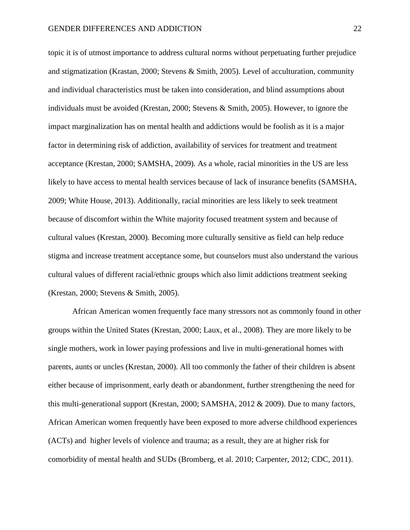topic it is of utmost importance to address cultural norms without perpetuating further prejudice and stigmatization (Krastan, 2000; Stevens & Smith, 2005). Level of acculturation, community and individual characteristics must be taken into consideration, and blind assumptions about individuals must be avoided (Krestan, 2000; Stevens & Smith, 2005). However, to ignore the impact marginalization has on mental health and addictions would be foolish as it is a major factor in determining risk of addiction, availability of services for treatment and treatment acceptance (Krestan, 2000; SAMSHA, 2009). As a whole, racial minorities in the US are less likely to have access to mental health services because of lack of insurance benefits (SAMSHA, 2009; White House, 2013). Additionally, racial minorities are less likely to seek treatment because of discomfort within the White majority focused treatment system and because of cultural values (Krestan, 2000). Becoming more culturally sensitive as field can help reduce stigma and increase treatment acceptance some, but counselors must also understand the various cultural values of different racial/ethnic groups which also limit addictions treatment seeking (Krestan, 2000; Stevens & Smith, 2005).

African American women frequently face many stressors not as commonly found in other groups within the United States (Krestan, 2000; Laux, et al., 2008). They are more likely to be single mothers, work in lower paying professions and live in multi-generational homes with parents, aunts or uncles (Krestan, 2000). All too commonly the father of their children is absent either because of imprisonment, early death or abandonment, further strengthening the need for this multi-generational support (Krestan, 2000; SAMSHA, 2012 & 2009). Due to many factors, African American women frequently have been exposed to more adverse childhood experiences (ACTs) and higher levels of violence and trauma; as a result, they are at higher risk for comorbidity of mental health and SUDs (Bromberg, et al. 2010; Carpenter, 2012; CDC, 2011).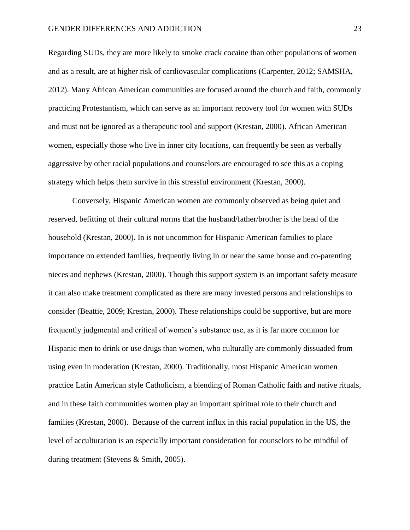Regarding SUDs, they are more likely to smoke crack cocaine than other populations of women and as a result, are at higher risk of cardiovascular complications (Carpenter, 2012; SAMSHA, 2012). Many African American communities are focused around the church and faith, commonly practicing Protestantism, which can serve as an important recovery tool for women with SUDs and must not be ignored as a therapeutic tool and support (Krestan, 2000). African American women, especially those who live in inner city locations, can frequently be seen as verbally aggressive by other racial populations and counselors are encouraged to see this as a coping strategy which helps them survive in this stressful environment (Krestan, 2000).

Conversely, Hispanic American women are commonly observed as being quiet and reserved, befitting of their cultural norms that the husband/father/brother is the head of the household (Krestan, 2000). In is not uncommon for Hispanic American families to place importance on extended families, frequently living in or near the same house and co-parenting nieces and nephews (Krestan, 2000). Though this support system is an important safety measure it can also make treatment complicated as there are many invested persons and relationships to consider (Beattie, 2009; Krestan, 2000). These relationships could be supportive, but are more frequently judgmental and critical of women's substance use, as it is far more common for Hispanic men to drink or use drugs than women, who culturally are commonly dissuaded from using even in moderation (Krestan, 2000). Traditionally, most Hispanic American women practice Latin American style Catholicism, a blending of Roman Catholic faith and native rituals, and in these faith communities women play an important spiritual role to their church and families (Krestan, 2000). Because of the current influx in this racial population in the US, the level of acculturation is an especially important consideration for counselors to be mindful of during treatment (Stevens & Smith, 2005).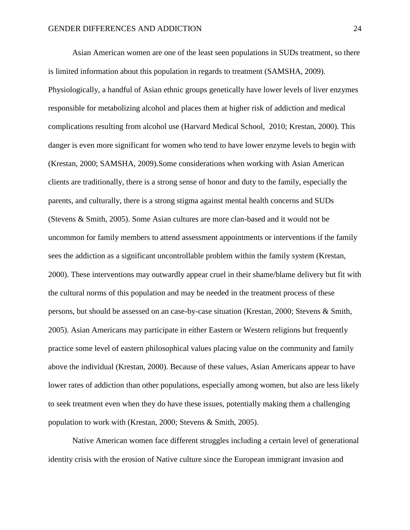Asian American women are one of the least seen populations in SUDs treatment, so there is limited information about this population in regards to treatment (SAMSHA, 2009). Physiologically, a handful of Asian ethnic groups genetically have lower levels of liver enzymes responsible for metabolizing alcohol and places them at higher risk of addiction and medical complications resulting from alcohol use (Harvard Medical School, 2010; Krestan, 2000). This danger is even more significant for women who tend to have lower enzyme levels to begin with (Krestan, 2000; SAMSHA, 2009).Some considerations when working with Asian American clients are traditionally, there is a strong sense of honor and duty to the family, especially the parents, and culturally, there is a strong stigma against mental health concerns and SUDs (Stevens & Smith, 2005). Some Asian cultures are more clan-based and it would not be uncommon for family members to attend assessment appointments or interventions if the family sees the addiction as a significant uncontrollable problem within the family system (Krestan, 2000). These interventions may outwardly appear cruel in their shame/blame delivery but fit with the cultural norms of this population and may be needed in the treatment process of these persons, but should be assessed on an case-by-case situation (Krestan, 2000; Stevens & Smith, 2005). Asian Americans may participate in either Eastern or Western religions but frequently practice some level of eastern philosophical values placing value on the community and family above the individual (Krestan, 2000). Because of these values, Asian Americans appear to have lower rates of addiction than other populations, especially among women, but also are less likely to seek treatment even when they do have these issues, potentially making them a challenging population to work with (Krestan, 2000; Stevens & Smith, 2005).

Native American women face different struggles including a certain level of generational identity crisis with the erosion of Native culture since the European immigrant invasion and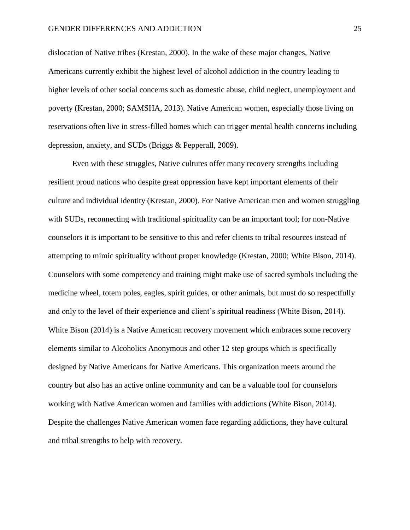dislocation of Native tribes (Krestan, 2000). In the wake of these major changes, Native Americans currently exhibit the highest level of alcohol addiction in the country leading to higher levels of other social concerns such as domestic abuse, child neglect, unemployment and poverty (Krestan, 2000; SAMSHA, 2013). Native American women, especially those living on reservations often live in stress-filled homes which can trigger mental health concerns including depression, anxiety, and SUDs (Briggs & Pepperall, 2009).

Even with these struggles, Native cultures offer many recovery strengths including resilient proud nations who despite great oppression have kept important elements of their culture and individual identity (Krestan, 2000). For Native American men and women struggling with SUDs, reconnecting with traditional spirituality can be an important tool; for non-Native counselors it is important to be sensitive to this and refer clients to tribal resources instead of attempting to mimic spirituality without proper knowledge (Krestan, 2000; White Bison, 2014). Counselors with some competency and training might make use of sacred symbols including the medicine wheel, totem poles, eagles, spirit guides, or other animals, but must do so respectfully and only to the level of their experience and client's spiritual readiness (White Bison, 2014). White Bison (2014) is a Native American recovery movement which embraces some recovery elements similar to Alcoholics Anonymous and other 12 step groups which is specifically designed by Native Americans for Native Americans. This organization meets around the country but also has an active online community and can be a valuable tool for counselors working with Native American women and families with addictions (White Bison, 2014). Despite the challenges Native American women face regarding addictions, they have cultural and tribal strengths to help with recovery.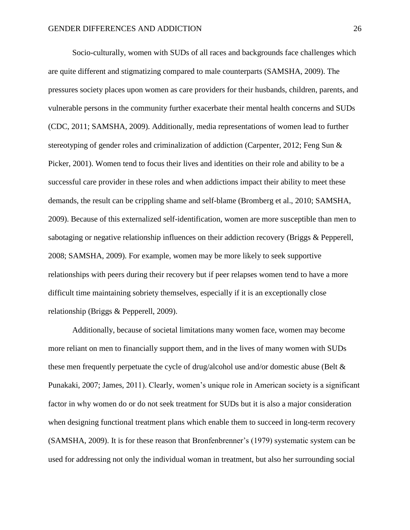Socio-culturally, women with SUDs of all races and backgrounds face challenges which are quite different and stigmatizing compared to male counterparts (SAMSHA, 2009). The pressures society places upon women as care providers for their husbands, children, parents, and vulnerable persons in the community further exacerbate their mental health concerns and SUDs (CDC, 2011; SAMSHA, 2009). Additionally, media representations of women lead to further stereotyping of gender roles and criminalization of addiction (Carpenter, 2012; Feng Sun & Picker, 2001). Women tend to focus their lives and identities on their role and ability to be a successful care provider in these roles and when addictions impact their ability to meet these demands, the result can be crippling shame and self-blame (Bromberg et al., 2010; SAMSHA, 2009). Because of this externalized self-identification, women are more susceptible than men to sabotaging or negative relationship influences on their addiction recovery (Briggs & Pepperell, 2008; SAMSHA, 2009). For example, women may be more likely to seek supportive relationships with peers during their recovery but if peer relapses women tend to have a more difficult time maintaining sobriety themselves, especially if it is an exceptionally close relationship (Briggs & Pepperell, 2009).

Additionally, because of societal limitations many women face, women may become more reliant on men to financially support them, and in the lives of many women with SUDs these men frequently perpetuate the cycle of drug/alcohol use and/or domestic abuse (Belt & Punakaki, 2007; James, 2011). Clearly, women's unique role in American society is a significant factor in why women do or do not seek treatment for SUDs but it is also a major consideration when designing functional treatment plans which enable them to succeed in long-term recovery (SAMSHA, 2009). It is for these reason that Bronfenbrenner's (1979) systematic system can be used for addressing not only the individual woman in treatment, but also her surrounding social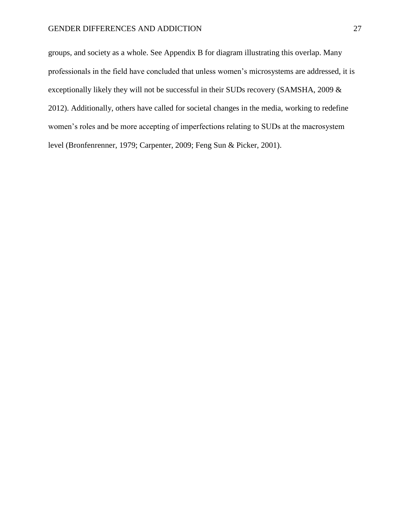groups, and society as a whole. See Appendix B for diagram illustrating this overlap. Many professionals in the field have concluded that unless women's microsystems are addressed, it is exceptionally likely they will not be successful in their SUDs recovery (SAMSHA, 2009 & 2012). Additionally, others have called for societal changes in the media, working to redefine women's roles and be more accepting of imperfections relating to SUDs at the macrosystem level (Bronfenrenner, 1979; Carpenter, 2009; Feng Sun & Picker, 2001).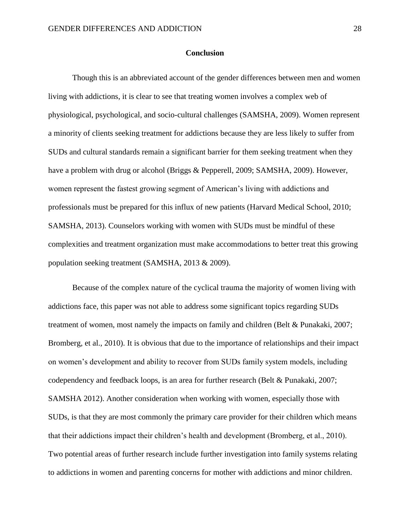#### **Conclusion**

Though this is an abbreviated account of the gender differences between men and women living with addictions, it is clear to see that treating women involves a complex web of physiological, psychological, and socio-cultural challenges (SAMSHA, 2009). Women represent a minority of clients seeking treatment for addictions because they are less likely to suffer from SUDs and cultural standards remain a significant barrier for them seeking treatment when they have a problem with drug or alcohol (Briggs & Pepperell, 2009; SAMSHA, 2009). However, women represent the fastest growing segment of American's living with addictions and professionals must be prepared for this influx of new patients (Harvard Medical School, 2010; SAMSHA, 2013). Counselors working with women with SUDs must be mindful of these complexities and treatment organization must make accommodations to better treat this growing population seeking treatment (SAMSHA, 2013 & 2009).

Because of the complex nature of the cyclical trauma the majority of women living with addictions face, this paper was not able to address some significant topics regarding SUDs treatment of women, most namely the impacts on family and children (Belt & Punakaki, 2007; Bromberg, et al., 2010). It is obvious that due to the importance of relationships and their impact on women's development and ability to recover from SUDs family system models, including codependency and feedback loops, is an area for further research (Belt & Punakaki, 2007; SAMSHA 2012). Another consideration when working with women, especially those with SUDs, is that they are most commonly the primary care provider for their children which means that their addictions impact their children's health and development (Bromberg, et al., 2010). Two potential areas of further research include further investigation into family systems relating to addictions in women and parenting concerns for mother with addictions and minor children.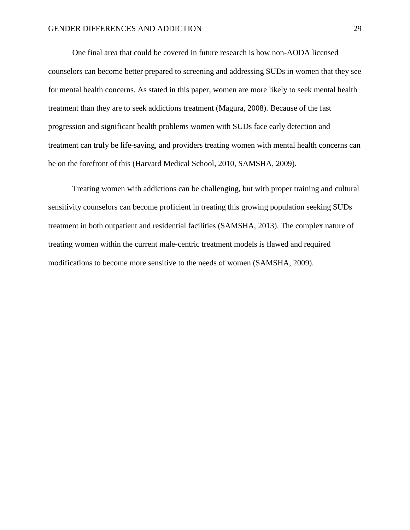One final area that could be covered in future research is how non-AODA licensed counselors can become better prepared to screening and addressing SUDs in women that they see for mental health concerns. As stated in this paper, women are more likely to seek mental health treatment than they are to seek addictions treatment (Magura, 2008). Because of the fast progression and significant health problems women with SUDs face early detection and treatment can truly be life-saving, and providers treating women with mental health concerns can be on the forefront of this (Harvard Medical School, 2010, SAMSHA, 2009).

Treating women with addictions can be challenging, but with proper training and cultural sensitivity counselors can become proficient in treating this growing population seeking SUDs treatment in both outpatient and residential facilities (SAMSHA, 2013). The complex nature of treating women within the current male-centric treatment models is flawed and required modifications to become more sensitive to the needs of women (SAMSHA, 2009).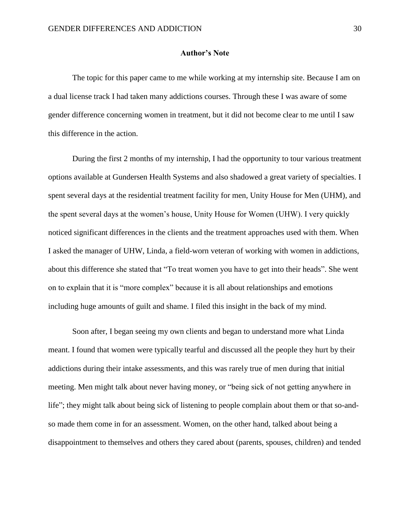#### **Author's Note**

The topic for this paper came to me while working at my internship site. Because I am on a dual license track I had taken many addictions courses. Through these I was aware of some gender difference concerning women in treatment, but it did not become clear to me until I saw this difference in the action.

During the first 2 months of my internship, I had the opportunity to tour various treatment options available at Gundersen Health Systems and also shadowed a great variety of specialties. I spent several days at the residential treatment facility for men, Unity House for Men (UHM), and the spent several days at the women's house, Unity House for Women (UHW). I very quickly noticed significant differences in the clients and the treatment approaches used with them. When I asked the manager of UHW, Linda, a field-worn veteran of working with women in addictions, about this difference she stated that "To treat women you have to get into their heads". She went on to explain that it is "more complex" because it is all about relationships and emotions including huge amounts of guilt and shame. I filed this insight in the back of my mind.

Soon after, I began seeing my own clients and began to understand more what Linda meant. I found that women were typically tearful and discussed all the people they hurt by their addictions during their intake assessments, and this was rarely true of men during that initial meeting. Men might talk about never having money, or "being sick of not getting anywhere in life"; they might talk about being sick of listening to people complain about them or that so-andso made them come in for an assessment. Women, on the other hand, talked about being a disappointment to themselves and others they cared about (parents, spouses, children) and tended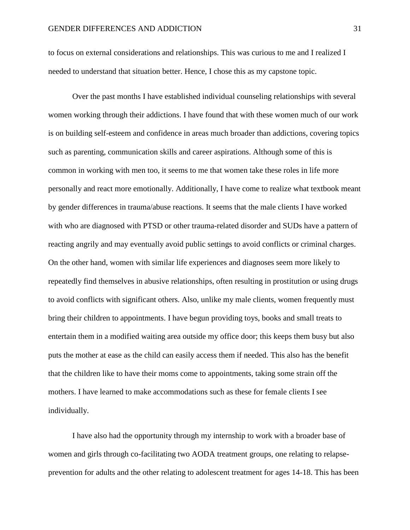to focus on external considerations and relationships. This was curious to me and I realized I needed to understand that situation better. Hence, I chose this as my capstone topic.

Over the past months I have established individual counseling relationships with several women working through their addictions. I have found that with these women much of our work is on building self-esteem and confidence in areas much broader than addictions, covering topics such as parenting, communication skills and career aspirations. Although some of this is common in working with men too, it seems to me that women take these roles in life more personally and react more emotionally. Additionally, I have come to realize what textbook meant by gender differences in trauma/abuse reactions. It seems that the male clients I have worked with who are diagnosed with PTSD or other trauma-related disorder and SUDs have a pattern of reacting angrily and may eventually avoid public settings to avoid conflicts or criminal charges. On the other hand, women with similar life experiences and diagnoses seem more likely to repeatedly find themselves in abusive relationships, often resulting in prostitution or using drugs to avoid conflicts with significant others. Also, unlike my male clients, women frequently must bring their children to appointments. I have begun providing toys, books and small treats to entertain them in a modified waiting area outside my office door; this keeps them busy but also puts the mother at ease as the child can easily access them if needed. This also has the benefit that the children like to have their moms come to appointments, taking some strain off the mothers. I have learned to make accommodations such as these for female clients I see individually.

I have also had the opportunity through my internship to work with a broader base of women and girls through co-facilitating two AODA treatment groups, one relating to relapseprevention for adults and the other relating to adolescent treatment for ages 14-18. This has been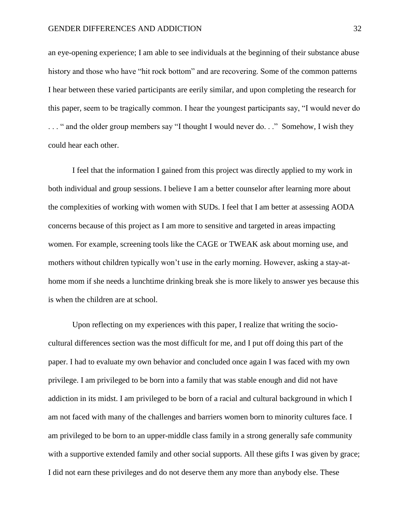an eye-opening experience; I am able to see individuals at the beginning of their substance abuse history and those who have "hit rock bottom" and are recovering. Some of the common patterns I hear between these varied participants are eerily similar, and upon completing the research for this paper, seem to be tragically common. I hear the youngest participants say, "I would never do . . . " and the older group members say "I thought I would never do. . ." Somehow, I wish they could hear each other.

I feel that the information I gained from this project was directly applied to my work in both individual and group sessions. I believe I am a better counselor after learning more about the complexities of working with women with SUDs. I feel that I am better at assessing AODA concerns because of this project as I am more to sensitive and targeted in areas impacting women. For example, screening tools like the CAGE or TWEAK ask about morning use, and mothers without children typically won't use in the early morning. However, asking a stay-athome mom if she needs a lunchtime drinking break she is more likely to answer yes because this is when the children are at school.

Upon reflecting on my experiences with this paper, I realize that writing the sociocultural differences section was the most difficult for me, and I put off doing this part of the paper. I had to evaluate my own behavior and concluded once again I was faced with my own privilege. I am privileged to be born into a family that was stable enough and did not have addiction in its midst. I am privileged to be born of a racial and cultural background in which I am not faced with many of the challenges and barriers women born to minority cultures face. I am privileged to be born to an upper-middle class family in a strong generally safe community with a supportive extended family and other social supports. All these gifts I was given by grace; I did not earn these privileges and do not deserve them any more than anybody else. These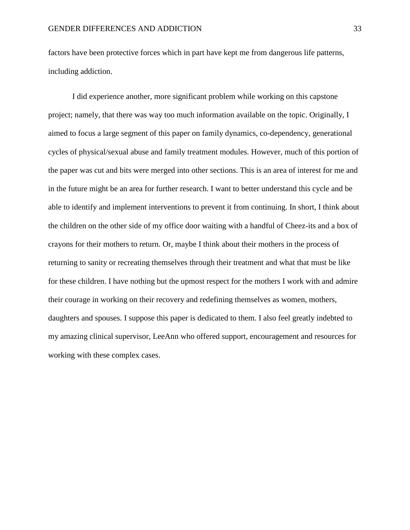factors have been protective forces which in part have kept me from dangerous life patterns, including addiction.

I did experience another, more significant problem while working on this capstone project; namely, that there was way too much information available on the topic. Originally, I aimed to focus a large segment of this paper on family dynamics, co-dependency, generational cycles of physical/sexual abuse and family treatment modules. However, much of this portion of the paper was cut and bits were merged into other sections. This is an area of interest for me and in the future might be an area for further research. I want to better understand this cycle and be able to identify and implement interventions to prevent it from continuing. In short, I think about the children on the other side of my office door waiting with a handful of Cheez-its and a box of crayons for their mothers to return. Or, maybe I think about their mothers in the process of returning to sanity or recreating themselves through their treatment and what that must be like for these children. I have nothing but the upmost respect for the mothers I work with and admire their courage in working on their recovery and redefining themselves as women, mothers, daughters and spouses. I suppose this paper is dedicated to them. I also feel greatly indebted to my amazing clinical supervisor, LeeAnn who offered support, encouragement and resources for working with these complex cases.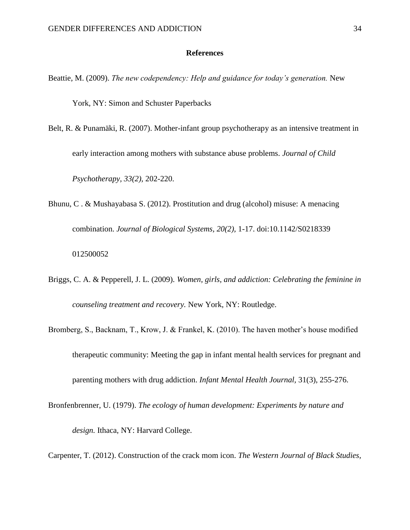#### **References**

Beattie, M. (2009). *The new codependency: Help and guidance for today's generation.* New

York, NY: Simon and Schuster Paperbacks

- Belt, R. & Punamäki, R. (2007). Mother-infant group psychotherapy as an intensive treatment in early interaction among mothers with substance abuse problems. *Journal of Child Psychotherapy, 33(2),* 202-220.
- Bhunu, C . & Mushayabasa S. (2012). Prostitution and drug (alcohol) misuse: A menacing combination. *Journal of Biological Systems, 20(2),* 1-17. doi:10.1142/S0218339 012500052
- Briggs, C. A. & Pepperell, J. L. (2009). *Women, girls, and addiction: Celebrating the feminine in counseling treatment and recovery.* New York, NY: Routledge.
- Bromberg, S., Backnam, T., Krow, J. & Frankel, K. (2010). The haven mother's house modified therapeutic community: Meeting the gap in infant mental health services for pregnant and parenting mothers with drug addiction. *Infant Mental Health Journal,* 31(3), 255-276.
- Bronfenbrenner, U. (1979). *The ecology of human development: Experiments by nature and design.* Ithaca, NY: Harvard College.

Carpenter, T. (2012). Construction of the crack mom icon. *The Western Journal of Black Studies,*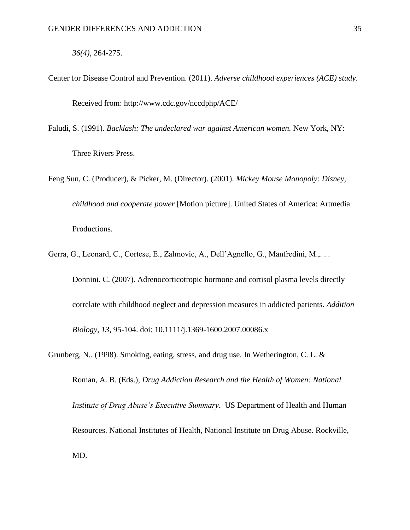*36(4),* 264-275.

- Center for Disease Control and Prevention. (2011). *Adverse childhood experiences (ACE) study*. Received from: http://www.cdc.gov/nccdphp/ACE/
- Faludi, S. (1991). *Backlash: The undeclared war against American women.* New York, NY: Three Rivers Press.
- Feng Sun, C. (Producer), & Picker, M. (Director). (2001). *Mickey Mouse Monopoly: Disney, childhood and cooperate power* [Motion picture]. United States of America: Artmedia Productions.
- Gerra, G., Leonard, C., Cortese, E., Zalmovic, A., Dell'Agnello, G., Manfredini, M.,. . .

Donnini. C. (2007). Adrenocorticotropic hormone and cortisol plasma levels directly correlate with childhood neglect and depression measures in addicted patients. *Addition Biology, 13,* 95-104. doi: 10.1111/j.1369-1600.2007.00086.x

Grunberg, N.. (1998). Smoking, eating, stress, and drug use. In Wetherington, C. L. & Roman, A. B. (Eds.), *Drug Addiction Research and the Health of Women: National Institute of Drug Abuse's Executive Summary.* US Department of Health and Human Resources. National Institutes of Health, National Institute on Drug Abuse. Rockville, MD.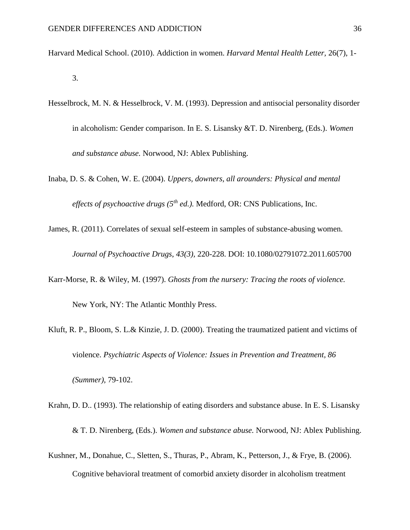- Harvard Medical School. (2010). Addiction in women. *Harvard Mental Health Letter,* 26(7), 1- 3.
- Hesselbrock, M. N. & Hesselbrock, V. M. (1993). Depression and antisocial personality disorder in alcoholism: Gender comparison. In E. S. Lisansky &T. D. Nirenberg, (Eds.). *Women and substance abuse.* Norwood, NJ: Ablex Publishing.
- Inaba, D. S. & Cohen, W. E. (2004). *Uppers, downers, all arounders: Physical and mental effects of psychoactive drugs (5th ed.).* Medford, OR: CNS Publications, Inc.
- James, R. (2011). Correlates of sexual self-esteem in samples of substance-abusing women. *Journal of Psychoactive Drugs*, *43(3),* 220-228. DOI: 10.1080/02791072.2011.605700
- Karr-Morse, R. & Wiley, M. (1997). *Ghosts from the nursery: Tracing the roots of violence.*  New York, NY: The Atlantic Monthly Press.
- Kluft, R. P., Bloom, S. L.& Kinzie, J. D. (2000). Treating the traumatized patient and victims of violence. *Psychiatric Aspects of Violence: Issues in Prevention and Treatment, 86 (Summer),* 79-102.
- Krahn, D. D.. (1993). The relationship of eating disorders and substance abuse. In E. S. Lisansky & T. D. Nirenberg, (Eds.). *Women and substance abuse.* Norwood, NJ: Ablex Publishing.
- Kushner, M., Donahue, C., Sletten, S., Thuras, P., Abram, K., Petterson, J., & Frye, B. (2006). Cognitive behavioral treatment of comorbid anxiety disorder in alcoholism treatment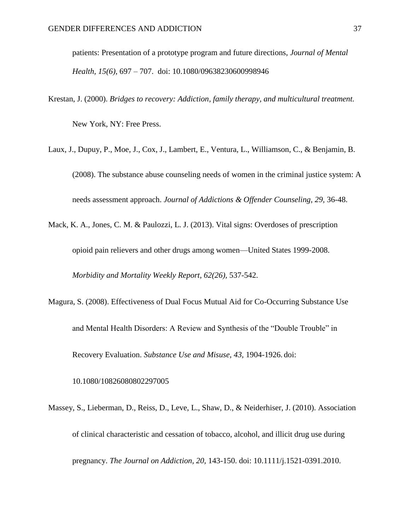patients: Presentation of a prototype program and future directions, *Journal of Mental Health, 15(6),* 697 – 707. doi: 10.1080/09638230600998946

Krestan, J. (2000). *Bridges to recovery: Addiction, family therapy, and multicultural treatment.* 

New York, NY: Free Press.

- Laux, J., Dupuy, P., Moe, J., Cox, J., Lambert, E., Ventura, L., Williamson, C., & Benjamin, B. (2008). The substance abuse counseling needs of women in the criminal justice system: A needs assessment approach. *Journal of Addictions & Offender Counseling, 29,* 36-48.
- Mack, K. A., Jones, C. M. & Paulozzi, L. J. (2013). Vital signs: Overdoses of prescription opioid pain relievers and other drugs among women—United States 1999-2008. *Morbidity and Mortality Weekly Report, 62(26),* 537-542.
- Magura, S. (2008). Effectiveness of Dual Focus Mutual Aid for Co-Occurring Substance Use and Mental Health Disorders: A Review and Synthesis of the "Double Trouble" in Recovery Evaluation. *Substance Use and Misuse, 43,* 1904-1926. doi:

10.1080/10826080802297005

Massey, S., Lieberman, D., Reiss, D., Leve, L., Shaw, D., & Neiderhiser, J. (2010). Association of clinical characteristic and cessation of tobacco, alcohol, and illicit drug use during pregnancy. *The Journal on Addiction, 20,* 143-150. doi: 10.1111/j.1521-0391.2010.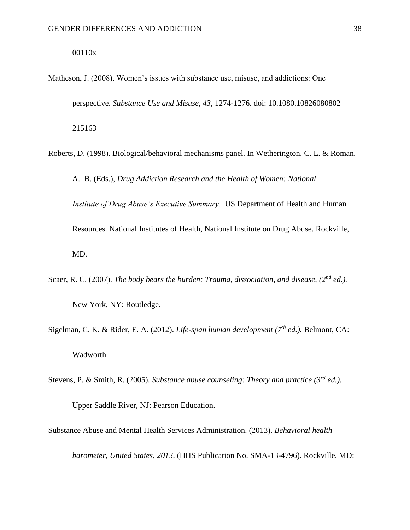#### 00110x

- Matheson, J. (2008). Women's issues with substance use, misuse, and addictions: One perspective. *Substance Use and Misuse, 43,* 1274-1276. doi: 10.1080.10826080802 215163
- Roberts, D. (1998). Biological/behavioral mechanisms panel. In Wetherington, C. L. & Roman,

A. B. (Eds.), *Drug Addiction Research and the Health of Women: National Institute of Drug Abuse's Executive Summary.* US Department of Health and Human Resources. National Institutes of Health, National Institute on Drug Abuse. Rockville, MD.

- Scaer, R. C. (2007). *The body bears the burden: Trauma, dissociation, and disease, (2nd ed.).* New York, NY: Routledge.
- Sigelman, C. K. & Rider, E. A. (2012). *Life-span human development (7th ed.).* Belmont, CA: Wadworth.
- Stevens, P. & Smith, R. (2005). *Substance abuse counseling: Theory and practice (3rd ed.).*

Upper Saddle River, NJ: Pearson Education.

Substance Abuse and Mental Health Services Administration. (2013). *Behavioral health* 

*barometer, United States, 2013*. (HHS Publication No. SMA-13-4796). Rockville, MD: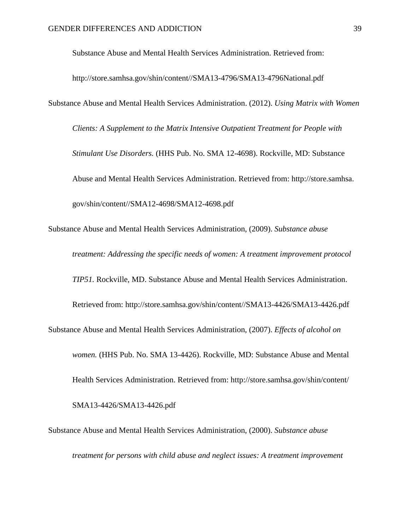Substance Abuse and Mental Health Services Administration. Retrieved from:

[http://store.samhsa.gov/shin/content//SMA13-4](http://store.samhsa.gov/shin/content/SMA13-)796/SMA13-4796National.pdf

Substance Abuse and Mental Health Services Administration. (2012). *Using Matrix with Women* 

*Clients: A Supplement to the Matrix Intensive Outpatient Treatment for People with Stimulant Use Disorders.* (HHS Pub. No. SMA 12-4698). Rockville, MD: Substance Abuse and Mental Health Services Administration. Retrieved from: [http://store.samhsa.](http://store.samhsa/) gov/shin/content//SMA12-4698/SMA12-4698.pdf

Substance Abuse and Mental Health Services Administration, (2009). *Substance abuse treatment: Addressing the specific needs of women: A treatment improvement protocol TIP51.* Rockville, MD. Substance Abuse and Mental Health Services Administration. Retrieved from: http://store.samhsa.gov/shin/content//SMA13-4426/SMA13-4426.pdf Substance Abuse and Mental Health Services Administration, (2007). *Effects of alcohol on women.* (HHS Pub. No. SMA 13-4426). Rockville, MD: Substance Abuse and Mental Health Services Administration. Retrieved from:<http://store.samhsa.gov/shin/content/> SMA13-4426/SMA13-4426.pdf

Substance Abuse and Mental Health Services Administration, (2000). *Substance abuse treatment for persons with child abuse and neglect issues: A treatment improvement*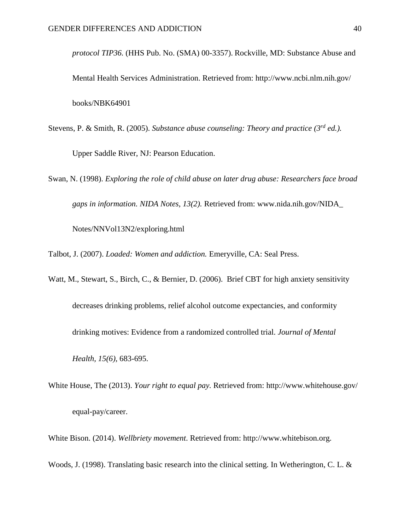*protocol TIP36.* (HHS Pub. No. (SMA) 00-3357). Rockville, MD: Substance Abuse and Mental Health Services Administration. Retrieved from:<http://www.ncbi.nlm.nih.gov/> books/NBK64901

- Stevens, P. & Smith, R. (2005). *Substance abuse counseling: Theory and practice (3rd ed.).* Upper Saddle River, NJ: Pearson Education.
- Swan, N. (1998). *Exploring the role of child abuse on later drug abuse: Researchers face broad gaps in information. NIDA Notes, 13(2).* Retrieved from: [www.nida.nih.gov/NIDA\\_](http://www.nida.nih.gov/NIDA_Notes/NNVol13N2/exploring.html)  [Notes/NNVol13N2/exploring.html](http://www.nida.nih.gov/NIDA_Notes/NNVol13N2/exploring.html)

Talbot, J. (2007). *Loaded: Women and addiction.* Emeryville, CA: Seal Press.

- Watt, M., Stewart, S., Birch, C., & Bernier, D. (2006). Brief CBT for high anxiety sensitivity decreases drinking problems, relief alcohol outcome expectancies, and conformity drinking motives: Evidence from a randomized controlled trial. *Journal of Mental Health, 15(6),* 683-695.
- White House, The (2013). *Your right to equal pay.* Retrieved from:<http://www.whitehouse.gov/> equal-pay/career.

White Bison. (2014). *Wellbriety movement*. Retrieved from: http://www.whitebison.org.

Woods, J. (1998). Translating basic research into the clinical setting. In Wetherington, C. L. &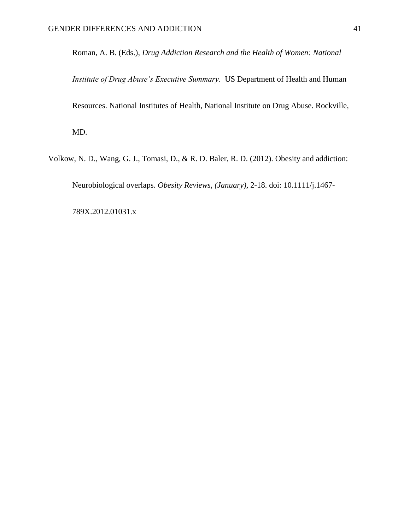Roman, A. B. (Eds.), *Drug Addiction Research and the Health of Women: National* 

*Institute of Drug Abuse's Executive Summary.* US Department of Health and Human Resources. National Institutes of Health, National Institute on Drug Abuse. Rockville, MD.

Volkow, N. D., Wang, G. J., Tomasi, D., & R. D. Baler, R. D. (2012). Obesity and addiction:

Neurobiological overlaps. *Obesity Reviews, (January),* 2-18. doi: 10.1111/j.1467-

789X.2012.01031.x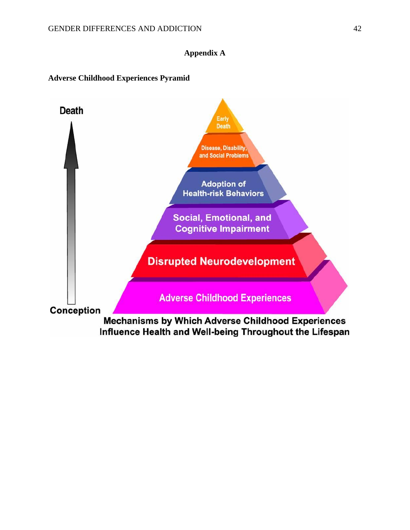## **Appendix A**